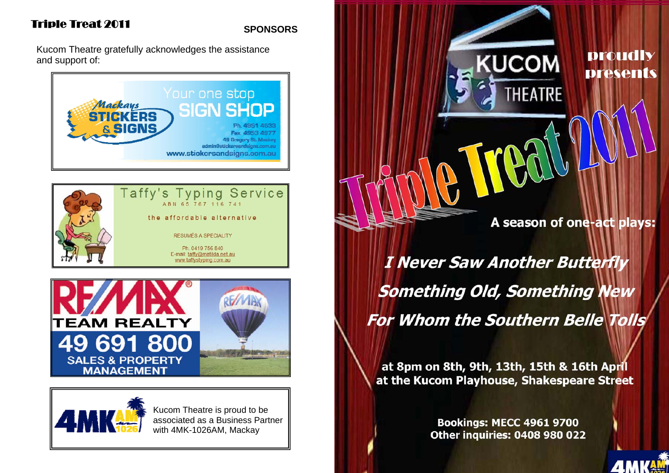### **SPONSORS**

Kucom Theatre gratefully acknowledges the assistance and support of:









Kucom Theatre is proud to be associated as a Business Partner with 4MK-1026AM, Mackay

A season of one-act plays:

**KUCOM** 

**THEATRE** 

**proudly** 

**presents** 

**AMKAM** 

I Never Saw Another Butterfly **Something Old, Something New** For Whom the Southern Belle Tolls

at 8pm on 8th, 9th, 13th, 15th & 16th April at the Kucom Playhouse, Shakespeare Street

> **Bookings: MECC 4961 9700 Other inquiries: 0408 980 022**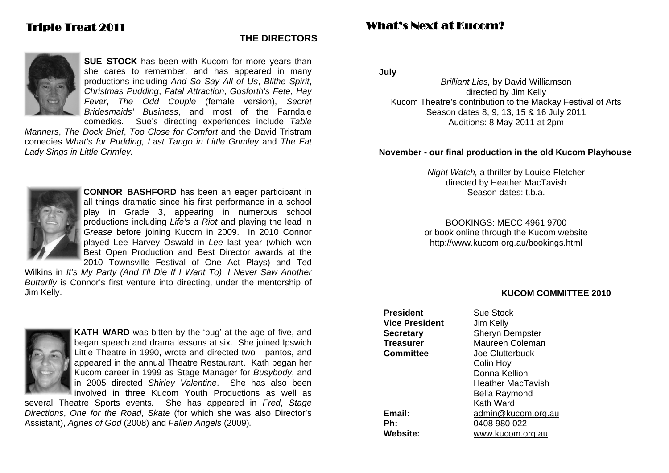### **THE DIRECTORS**



**SUE STOCK** has been with Kucom for more years than she cares to remember, and has appeared in many productions including *And So Say All of Us*, *Blithe Spirit*, *Christmas Pudding*, *Fatal Attraction*, *Gosforth's Fete*, *Hay Fever*, *The Odd Couple* (female version), *Secret Bridesmaids' Business*, and most of the Farndale comedies. Sue's directing experiences include *Table* 

*Manners*, *The Dock Brief*, *Too Close for Comfort* and the David Tristram comedies *What's for Pudding, Last Tango in Little Grimley* and *The Fat Lady Sings in Little Grimley.*



**CONNOR BASHFORD** has been an eager participant in all things dramatic since his first performance in a school play in Grade 3, appearing in numerous school productions including *Life's a Riot* and playing the lead in *Grease* before joining Kucom in 2009. In 2010 Connor played Lee Harvey Oswald in *Lee* last year (which won Best Open Production and Best Director awards at the 2010 Townsville Festival of One Act Plays) and Ted

Wilkins in *It's My Party (And I'll Die If I Want To)*. *I Never Saw Another Butterfly* is Connor's first venture into directing, under the mentorship of Jim Kelly.



**KATH WARD** was bitten by the 'bug' at the age of five, and began speech and drama lessons at six. She joined Ipswich Little Theatre in 1990, wrote and directed two pantos, and appeared in the annual Theatre Restaurant. Kath began her Kucom career in 1999 as Stage Manager for *Busybody*, and in 2005 directed *Shirley Valentine*. She has also been involved in three Kucom Youth Productions as well as

several Theatre Sports events*.* She has appeared in *Fred*, *Stage Directions*, *One for the Road*, *Skate* (for which she was also Director's Assistant), *Agnes of God* (2008) and *Fallen Angels* (2009)*.*

## What's Next at Kucom?

**July** 

*Brilliant Lies,* by David Williamson directed by Jim Kelly Kucom Theatre's contribution to the Mackay Festival of Arts Season dates 8, 9, 13, 15 & 16 July 2011 Auditions: 8 May 2011 at 2pm

#### **November - our final production in the old Kucom Playhouse**

*Night Watch,* a thriller by Louise Fletcher directed by Heather MacTavish Season dates: t.b.a.

BOOKINGS: MECC 4961 9700 or book online through the Kucom website http://www.kucom.org.au/bookings.html

#### **KUCOM COMMITTEE 2010**

**President** Sue Stock **Vice President** Jim Kelly **Secretary** Sheryn Dempster **Treasurer** Maureen Coleman **Committee** Joe Clutterbuck Heather MacTavish **Email:** admin@kucom.org.au **Ph:** 0408 980 022 **Website:** www.kucom.org.au

 Colin Hoy Donna Kellion Bella Raymond Kath Ward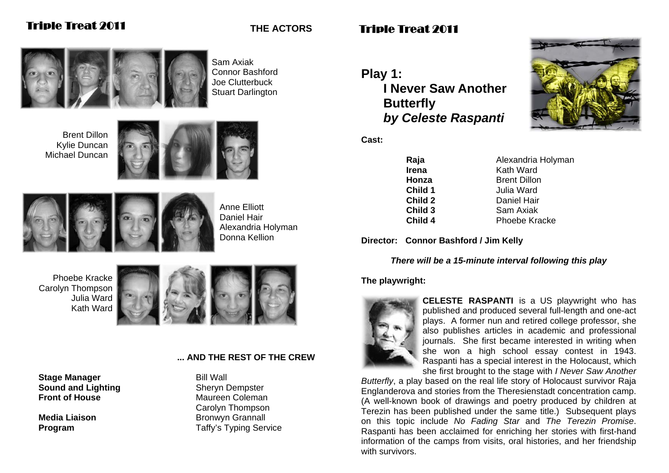Sam Axiak Connor Bashford Joe Clutterbuck Stuart Darlington

**THE ACTORS** 

Brent Dillon Kylie Duncan Michael Duncan





Anne Elliott Daniel Hair Alexandria Holyman Donna Kellion

Phoebe Kracke Carolyn Thompson Julia Ward Kath Ward



### **... AND THE REST OF THE CREW**

**Stage Manager**  Bill Wall **Sound and Lighting <b>Sheryn** Dempster **Front of House Maureen Coleman** 

 Carolyn Thompson **Media Liaison** Bronwyn Grannall **Program** Taffy's Typing Service

# Triple Treat 2011

**Play 1: I Never Saw Another Butterfly**  *by Celeste Raspanti*





**Irena Kath Ward Child 1** Julia Ward

**Raja Alexandria Holyman Honza Brent Dillon Child 2** Daniel Hair **Child 3** Sam Axiak **Child 4** Phoebe Kracke

**Director: Connor Bashford / Jim Kelly** 

### *There will be a 15-minute interval following this play*

### **The playwright:**



**CELESTE RASPANTI** is a US playwright who has published and produced several full-length and one-act plays. A former nun and retired college professor, she also publishes articles in academic and professional journals. She first became interested in writing when she won a high school essay contest in 1943. Raspanti has a special interest in the Holocaust, which she first brought to the stage with *I Never Saw Another* 

*Butterfly*, a play based on the real life story of Holocaust survivor Raja Englanderova and stories from the Theresienstadt concentration camp. (A well-known book of drawings and poetry produced by children at Terezin has been published under the same title.) Subsequent plays on this topic include *No Fading Star* and *The Terezin Promise*. Raspanti has been acclaimed for enriching her stories with first-hand information of the camps from visits, oral histories, and her friendship with survivors.